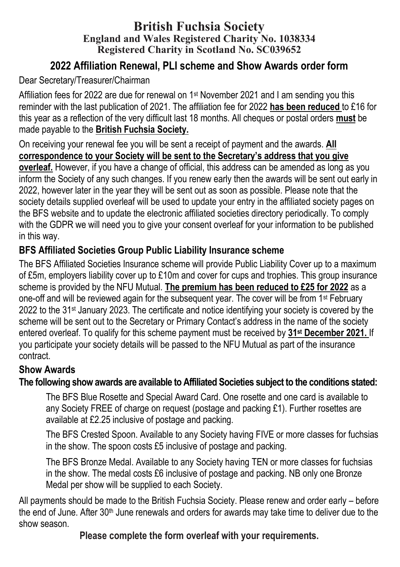#### **British Fuchsia Society England and Wales Registered Charity No. 1038334 Registered Charity in Scotland No. SC039652**

# **2022 Affiliation Renewal, PLI scheme and Show Awards order form**

## Dear Secretary/Treasurer/Chairman

Affiliation fees for 2022 are due for renewal on 1st November 2021 and I am sending you this reminder with the last publication of 2021. The affiliation fee for 2022 **has been reduced** to £16 for this year as a reflection of the very difficult last 18 months. All cheques or postal orders **must** be made payable to the **British Fuchsia Society.** 

On receiving your renewal fee you will be sent a receipt of payment and the awards. **All correspondence to your Society will be sent to the Secretary's address that you give overleaf.** However, if you have a change of official, this address can be amended as long as you inform the Society of any such changes. If you renew early then the awards will be sent out early in 2022, however later in the year they will be sent out as soon as possible. Please note that the society details supplied overleaf will be used to update your entry in the affiliated society pages on the BFS website and to update the electronic affiliated societies directory periodically. To comply with the GDPR we will need you to give your consent overleaf for your information to be published in this way.

### **BFS Affiliated Societies Group Public Liability Insurance scheme**

The BFS Affiliated Societies Insurance scheme will provide Public Liability Cover up to a maximum of £5m, employers liability cover up to £10m and cover for cups and trophies. This group insurance scheme is provided by the NFU Mutual. **The premium has been reduced to £25 for 2022** as a one-off and will be reviewed again for the subsequent year. The cover will be from 1st February 2022 to the 31st January 2023. The certificate and notice identifying your society is covered by the scheme will be sent out to the Secretary or Primary Contact's address in the name of the society entered overleaf. To qualify for this scheme payment must be received by **31st December 2021.** If you participate your society details will be passed to the NFU Mutual as part of the insurance contract.

#### **Show Awards**

## **The following show awards are available to Affiliated Societies subject to the conditions stated:**

The BFS Blue Rosette and Special Award Card. One rosette and one card is available to any Society FREE of charge on request (postage and packing £1). Further rosettes are available at £2.25 inclusive of postage and packing.

The BFS Crested Spoon. Available to any Society having FIVE or more classes for fuchsias in the show. The spoon costs £5 inclusive of postage and packing.

The BFS Bronze Medal. Available to any Society having TEN or more classes for fuchsias in the show. The medal costs £6 inclusive of postage and packing. NB only one Bronze Medal per show will be supplied to each Society.

All payments should be made to the British Fuchsia Society. Please renew and order early – before the end of June. After 30<sup>th</sup> June renewals and orders for awards may take time to deliver due to the show season.

**Please complete the form overleaf with your requirements.**